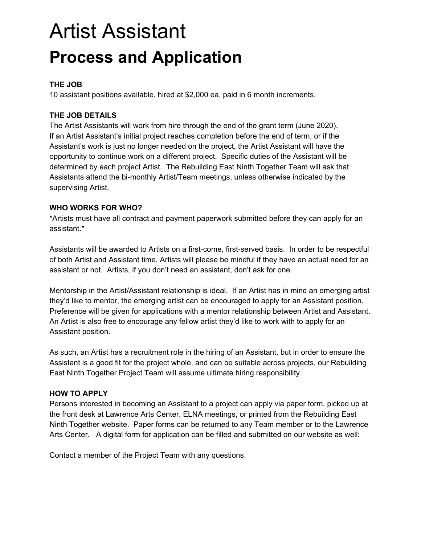# Artist Assistant **Process and Application**

#### **THE JOB**

10 assistant positions available, hired at \$2,000 ea, paid in 6 month increments.

### **THE JOB DETAILS**

The Artist Assistants will work from hire through the end of the grant term (June 2020). If an Artist Assistant's initial project reaches completion before the end of term, or if the Assistant's work is just no longer needed on the project, the Artist Assistant will have the opportunity to continue work on a different project. Specific duties of the Assistant will be determined by each project Artist. The Rebuilding East Ninth Together Team will ask that Assistants attend the bi-monthly Artist/Team meetings, unless otherwise indicated by the supervising Artist.

#### **WHO WORKS FOR WHO?**

\*Artists must have all contract and payment paperwork submitted before they can apply for an assistant.\*

Assistants will be awarded to Artists on a first-come, first-served basis. In order to be respectful of both Artist and Assistant time, Artists will please be mindful if they have an actual need for an assistant or not. Artists, if you don't need an assistant, don't ask for one.

Mentorship in the Artist/Assistant relationship is ideal. If an Artist has in mind an emerging artist they'd like to mentor, the emerging artist can be encouraged to apply for an Assistant position. Preference will be given for applications with a mentor relationship between Artist and Assistant. An Artist is also free to encourage any fellow artist they'd like to work with to apply for an Assistant position.

As such, an Artist has a recruitment role in the hiring of an Assistant, but in order to ensure the Assistant is a good fit for the project whole, and can be suitable across projects, our Rebuilding East Ninth Together Project Team will assume ultimate hiring responsibility.

#### **HOW TO APPLY**

Persons interested in becoming an Assistant to a project can apply via paper form, picked up at the front desk at Lawrence Arts Center, ELNA meetings, or printed from the Rebuilding East Ninth Together website. Paper forms can be returned to any Team member or to the Lawrence Arts Center. A digital form for application can be filled and submitted on our website as well:

Contact a member of the Project Team with any questions.